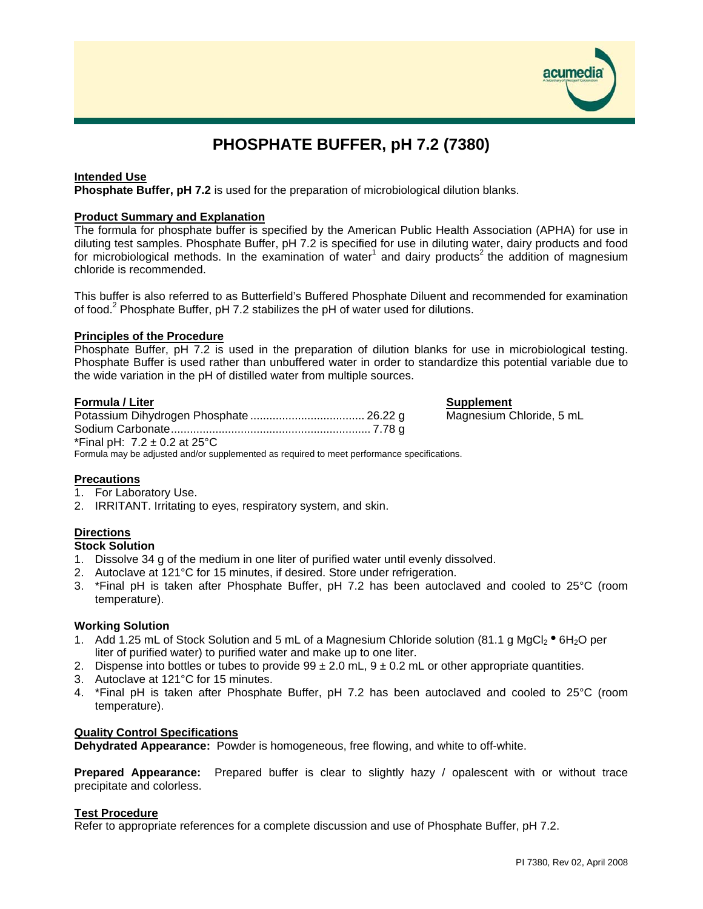

# **PHOSPHATE BUFFER, pH 7.2 (7380)**

#### **Intended Use**

**Phosphate Buffer, pH 7.2** is used for the preparation of microbiological dilution blanks.

#### **Product Summary and Explanation**

The formula for phosphate buffer is specified by the American Public Health Association (APHA) for use in diluting test samples. Phosphate Buffer, pH 7.2 is specified for use in diluting water, dairy products and food for microbiological methods. In the examination of water<sup>1</sup> and dairy products<sup>2</sup> the addition of magnesium chloride is recommended.

This buffer is also referred to as Butterfield's Buffered Phosphate Diluent and recommended for examination of food.<sup>2</sup> Phosphate Buffer, pH 7.2 stabilizes the pH of water used for dilutions.

#### **Principles of the Procedure**

Phosphate Buffer, pH 7.2 is used in the preparation of dilution blanks for use in microbiological testing. Phosphate Buffer is used rather than unbuffered water in order to standardize this potential variable due to the wide variation in the pH of distilled water from multiple sources.

#### **Formula / Liter Supplement**

Potassium Dihydrogen Phosphate .................................... 26.22 g Magnesium Chloride, 5 mL Sodium Carbonate............................................................... 7.78 g \*Final pH:  $7.2 \pm 0.2$  at 25°C Formula may be adjusted and/or supplemented as required to meet performance specifications.

#### **Precautions**

- 1. For Laboratory Use.
- 2. IRRITANT. Irritating to eyes, respiratory system, and skin.

# **Directions**

#### **Stock Solution**

- 1. Dissolve 34 g of the medium in one liter of purified water until evenly dissolved.
- 2. Autoclave at 121°C for 15 minutes, if desired. Store under refrigeration.
- 3. \*Final pH is taken after Phosphate Buffer, pH 7.2 has been autoclaved and cooled to 25°C (room temperature).

#### **Working Solution**

- 1. Add 1.25 mL of Stock Solution and 5 mL of a Magnesium Chloride solution (81.1 g MgCl<sub>2</sub>  $\bullet$  6H<sub>2</sub>O per liter of purified water) to purified water and make up to one liter.
- 2. Dispense into bottles or tubes to provide  $99 \pm 2.0$  mL,  $9 \pm 0.2$  mL or other appropriate quantities.
- 3. Autoclave at 121°C for 15 minutes.
- 4. \*Final pH is taken after Phosphate Buffer, pH 7.2 has been autoclaved and cooled to 25°C (room temperature).

#### **Quality Control Specifications**

**Dehydrated Appearance:** Powder is homogeneous, free flowing, and white to off-white.

**Prepared Appearance:** Prepared buffer is clear to slightly hazy / opalescent with or without trace precipitate and colorless.

#### **Test Procedure**

Refer to appropriate references for a complete discussion and use of Phosphate Buffer, pH 7.2.